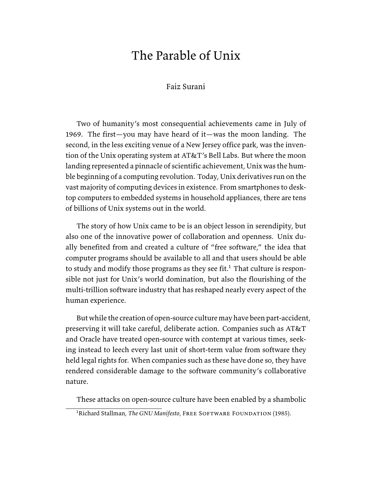# The Parable of Unix

## Faiz Surani

Two of humanity's most consequential achievements came in July of 1969. The first—you may have heard of it—was the moon landing. The second, in the less exciting venue of a New Jersey office park, was the invention of the Unix operating system at AT&T's Bell Labs. But where the moon landing represented a pinnacle of scientific achievement, Unix was the humble beginning of a computing revolution. Today, Unix derivatives run on the vast majority of computing devices in existence. From smartphones to desktop computers to embedded systems in household appliances, there are tens of billions of Unix systems out in the world.

The story of how Unix came to be is an object lesson in serendipity, but also one of the innovative power of collaboration and openness. Unix dually benefited from and created a culture of "free software," the idea that computer programs should be available to all and that users should be able to study and modify those programs as they see fit.<sup>1</sup> That culture is responsible not just for Unix's world domination, but also the flourishing of the multi-trillion software industry that has reshaped nearly every aspect of the human experience.

But while the creation of open-source culture may have been part-accident, preserving it will take careful, deliberate action. Companies such as AT&T and Oracle have treated open-source with contempt at various times, seeking instead to leech every last unit of short-term value from software they held legal rights for. When companies such as these have done so, they have rendered considerable damage to the software community's collaborative nature.

These attacks on open-source culture have been enabled by a shambolic

<sup>&</sup>lt;sup>1</sup>Richard Stallman, *The GNU Manifesto*, FREE SOFTWARE FOUNDATION (1985).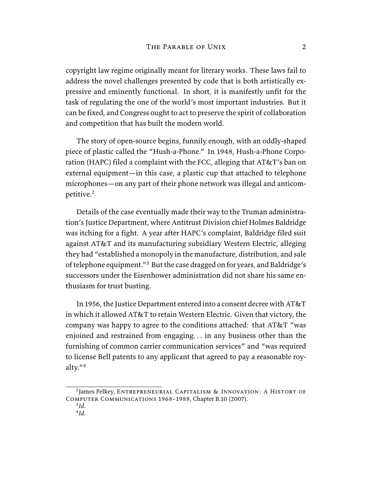copyright law regime originally meant for literary works. These laws fail to address the novel challenges presented by code that is both artistically expressive and eminently functional. In short, it is manifestly unfit for the task of regulating the one of the world's most important industries. But it can be fixed, and Congress ought to act to preserve the spirit of collaboration and competition that has built the modern world.

The story of open-source begins, funnily enough, with an oddly-shaped piece of plastic called the "Hush-a-Phone." In 1948, Hush-a-Phone Corporation (HAPC) filed a complaint with the FCC, alleging that AT&T's ban on external equipment—in this case, a plastic cup that attached to telephone microphones—on any part of their phone network was illegal and anticompetitive.<sup>2</sup>

Details of the case eventually made their way to the Truman administration's Justice Department, where Antitrust Division chief Holmes Baldridge was itching for a fight. A year after HAPC's complaint, Baldridge filed suit against AT&T and its manufacturing subsidiary Western Electric, alleging they had "established a monopoly in the manufacture, distribution, and sale of telephone equipment."<sup>3</sup> But the case dragged on for years, and Baldridge's successors under the Eisenhower administration did not share his same enthusiasm for trust busting.

In 1956, the Justice Department entered into a consent decree with AT&T in which it allowed AT&T to retain Western Electric. Given that victory, the company was happy to agree to the conditions attached: that AT&T "was enjoined and restrained from engaging. . . in any business other than the furnishing of common carrier communication services" and "was required to license Bell patents to any applicant that agreed to pay a reasonable royalty."<sup>4</sup>

<sup>2</sup> James Pelkey, Entrepreneurial Capitalism & Innovation: A History of Computer Communications 1968–1988, Chapter B.10 (2007).

<sup>3</sup> *Id.*

<sup>4</sup> *Id.*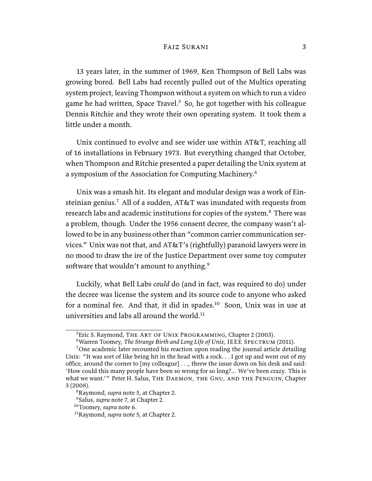13 years later, in the summer of 1969, Ken Thompson of Bell Labs was growing bored. Bell Labs had recently pulled out of the Multics operating system project, leaving Thompson without a system on which to run a video game he had written, Space Travel.<sup>5</sup> So, he got together with his colleague Dennis Ritchie and they wrote their own operating system. It took them a little under a month.

Unix continued to evolve and see wider use within AT&T, reaching all of 16 installations in February 1973. But everything changed that October, when Thompson and Ritchie presented a paper detailing the Unix system at a symposium of the Association for Computing Machinery.<sup>6</sup>

Unix was a smash hit. Its elegant and modular design was a work of Einsteinian genius.<sup>7</sup> All of a sudden,  $AT&T$  was inundated with requests from research labs and academic institutions for copies of the system.<sup>8</sup> There was a problem, though. Under the 1956 consent decree, the company wasn't allowed to be in any business other than "common carrier communication services." Unix was not that, and AT&T's (rightfully) paranoid lawyers were in no mood to draw the ire of the Justice Department over some toy computer software that wouldn't amount to anything.<sup>9</sup>

Luckily, what Bell Labs *could* do (and in fact, was required to do) under the decree was license the system and its source code to anyone who asked for a nominal fee. And that, it did in spades. $10$  Soon, Unix was in use at universities and labs all around the world. $11$ 

<sup>&</sup>lt;sup>5</sup>Eric S. Raymond, THE ART OF UNIX PROGRAMMING, Chapter 2 (2003).

<sup>&</sup>lt;sup>6</sup> Warren Toomey, *The Strange Birth and Long Life of Unix*, IEEE SPECTRUM (2011).

 $7$ One academic later recounted his reaction upon reading the journal article detailing Unix: "It was sort of like being hit in the head with a rock. . . I got up and went out of my office, around the corner to [my colleague] . . ., threw the issue down on his desk and said: 'How could this many people have been so wrong for so long?... We've been crazy. This is what we want.'" Peter H. Salus, THE DAEMON, THE GNU, AND THE PENGUIN, Chapter 3 (2008).

<sup>8</sup>Raymond, *supra* note 5, at Chapter 2.

<sup>9</sup>Salus, *supra* note 7, at Chapter 2.

<sup>10</sup>Toomey, *supra* note 6.

<sup>11</sup>Raymond, *supra* note 5, at Chapter 2.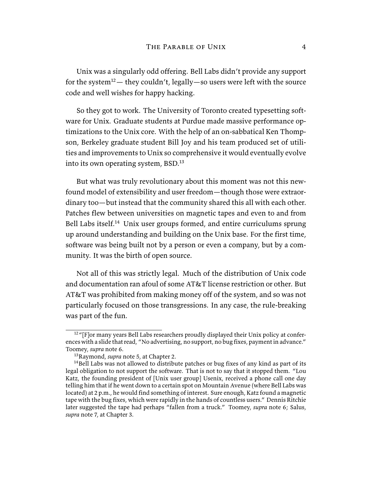Unix was a singularly odd offering. Bell Labs didn't provide any support for the system<sup>12</sup> — they couldn't, legally—so users were left with the source code and well wishes for happy hacking.

So they got to work. The University of Toronto created typesetting software for Unix. Graduate students at Purdue made massive performance optimizations to the Unix core. With the help of an on-sabbatical Ken Thompson, Berkeley graduate student Bill Joy and his team produced set of utilities and improvements to Unix so comprehensive it would eventually evolve into its own operating system, BSD.<sup>13</sup>

But what was truly revolutionary about this moment was not this newfound model of extensibility and user freedom—though those were extraordinary too—but instead that the community shared this all with each other. Patches flew between universities on magnetic tapes and even to and from Bell Labs itself.<sup>14</sup> Unix user groups formed, and entire curriculums sprung up around understanding and building on the Unix base. For the first time, software was being built not by a person or even a company, but by a community. It was the birth of open source.

Not all of this was strictly legal. Much of the distribution of Unix code and documentation ran afoul of some AT&T license restriction or other. But AT&T was prohibited from making money off of the system, and so was not particularly focused on those transgressions. In any case, the rule-breaking was part of the fun.

<sup>&</sup>lt;sup>12</sup>"[F]or many years Bell Labs researchers proudly displayed their Unix policy at conferences with a slide that read, "No advertising, no support, no bug fixes, payment in advance." Toomey, *supra* note 6.

<sup>13</sup>Raymond, *supra* note 5, at Chapter 2.

<sup>&</sup>lt;sup>14</sup>Bell Labs was not allowed to distribute patches or bug fixes of any kind as part of its legal obligation to not support the software. That is not to say that it stopped them. "Lou Katz, the founding president of [Unix user group] Usenix, received a phone call one day telling him that if he went down to a certain spot on Mountain Avenue (where Bell Labs was located) at 2 p.m., he would find something of interest. Sure enough, Katz found a magnetic tape with the bug fixes, which were rapidly in the hands of countless users." Dennis Ritchie later suggested the tape had perhaps "fallen from a truck." Toomey, *supra* note 6; Salus, *supra* note 7, at Chapter 3.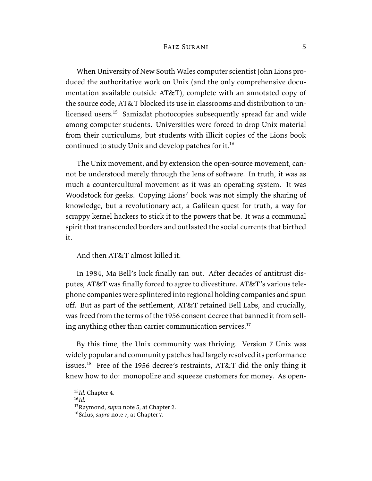When University of New South Wales computer scientist John Lions produced the authoritative work on Unix (and the only comprehensive documentation available outside AT&T), complete with an annotated copy of the source code, AT&T blocked its use in classrooms and distribution to unlicensed users.<sup>15</sup> Samizdat photocopies subsequently spread far and wide among computer students. Universities were forced to drop Unix material from their curriculums, but students with illicit copies of the Lions book continued to study Unix and develop patches for it.<sup>16</sup>

The Unix movement, and by extension the open-source movement, cannot be understood merely through the lens of software. In truth, it was as much a countercultural movement as it was an operating system. It was Woodstock for geeks. Copying Lions' book was not simply the sharing of knowledge, but a revolutionary act, a Galilean quest for truth, a way for scrappy kernel hackers to stick it to the powers that be. It was a communal spirit that transcended borders and outlasted the social currents that birthed it.

And then AT&T almost killed it.

In 1984, Ma Bell's luck finally ran out. After decades of antitrust disputes, AT&T was finally forced to agree to divestiture. AT&T's various telephone companies were splintered into regional holding companies and spun off. But as part of the settlement, AT&T retained Bell Labs, and crucially, was freed from the terms of the 1956 consent decree that banned it from selling anything other than carrier communication services. $17$ 

By this time, the Unix community was thriving. Version 7 Unix was widely popular and community patches had largely resolved its performance issues.<sup>18</sup> Free of the 1956 decree's restraints, AT&T did the only thing it knew how to do: monopolize and squeeze customers for money. As open-

<sup>15</sup>*Id.* Chapter 4.

<sup>16</sup>*Id.*

<sup>17</sup>Raymond, *supra* note 5, at Chapter 2.

<sup>18</sup>Salus, *supra* note 7, at Chapter 7.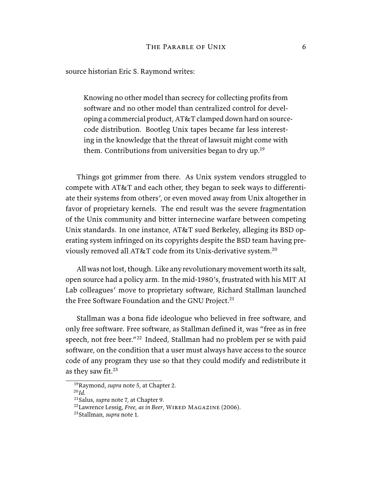source historian Eric S. Raymond writes:

Knowing no other model than secrecy for collecting profits from software and no other model than centralized control for developing a commercial product, AT&T clamped down hard on sourcecode distribution. Bootleg Unix tapes became far less interesting in the knowledge that the threat of lawsuit might come with them. Contributions from universities began to dry up.<sup>19</sup>

Things got grimmer from there. As Unix system vendors struggled to compete with AT&T and each other, they began to seek ways to differentiate their systems from others', or even moved away from Unix altogether in favor of proprietary kernels. The end result was the severe fragmentation of the Unix community and bitter internecine warfare between competing Unix standards. In one instance, AT&T sued Berkeley, alleging its BSD operating system infringed on its copyrights despite the BSD team having previously removed all AT&T code from its Unix-derivative system.<sup>20</sup>

All was not lost, though. Like any revolutionary movement worth its salt, open source had a policy arm. In the mid-1980's, frustrated with his MIT AI Lab colleagues' move to proprietary software, Richard Stallman launched the Free Software Foundation and the GNU Project.<sup>21</sup>

Stallman was a bona fide ideologue who believed in free software, and only free software. Free software, as Stallman defined it, was "free as in free speech, not free beer."<sup>22</sup> Indeed, Stallman had no problem per se with paid software, on the condition that a user must always have access to the source code of any program they use so that they could modify and redistribute it as they saw fit.<sup>23</sup>

<sup>20</sup>*Id.*

<sup>19</sup>Raymond, *supra* note 5, at Chapter 2.

<sup>21</sup>Salus, *supra* note 7, at Chapter 9.

<sup>&</sup>lt;sup>22</sup>Lawrence Lessig, *Free, as in Beer*, WIRED MAGAZINE (2006).

<sup>23</sup>Stallman, *supra* note 1.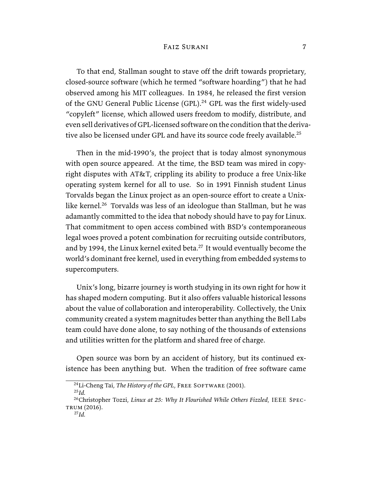To that end, Stallman sought to stave off the drift towards proprietary, closed-source software (which he termed "software hoarding") that he had observed among his MIT colleagues. In 1984, he released the first version of the GNU General Public License  $(GPL).^{24}$  GPL was the first widely-used "copyleft" license, which allowed users freedom to modify, distribute, and even sell derivatives of GPL-licensed software on the condition that the derivative also be licensed under GPL and have its source code freely available.<sup>25</sup>

Then in the mid-1990's, the project that is today almost synonymous with open source appeared. At the time, the BSD team was mired in copyright disputes with AT&T, crippling its ability to produce a free Unix-like operating system kernel for all to use. So in 1991 Finnish student Linus Torvalds began the Linux project as an open-source effort to create a Unixlike kernel.<sup>26</sup> Torvalds was less of an ideologue than Stallman, but he was adamantly committed to the idea that nobody should have to pay for Linux. That commitment to open access combined with BSD's contemporaneous legal woes proved a potent combination for recruiting outside contributors, and by 1994, the Linux kernel exited beta. $^{27}$  It would eventually become the world's dominant free kernel, used in everything from embedded systems to supercomputers.

Unix's long, bizarre journey is worth studying in its own right for how it has shaped modern computing. But it also offers valuable historical lessons about the value of collaboration and interoperability. Collectively, the Unix community created a system magnitudes better than anything the Bell Labs team could have done alone, to say nothing of the thousands of extensions and utilities written for the platform and shared free of charge.

Open source was born by an accident of history, but its continued existence has been anything but. When the tradition of free software came

<sup>25</sup>*Id.*

<sup>&</sup>lt;sup>24</sup>Li-Cheng Tai, *The History of the GPL*, FREE SOFTWARE (2001).

<sup>26</sup>Christopher Tozzi, *Linux at 25: Why It Flourished While Others Fizzled*, IEEE Spec-TRUM (2016).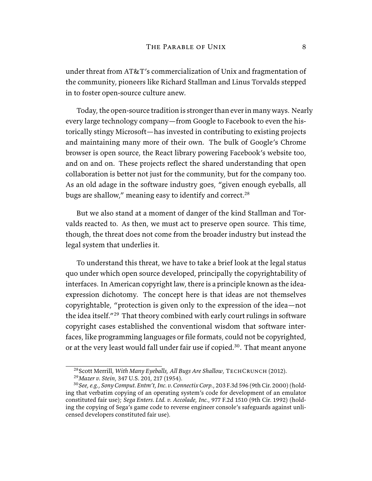under threat from AT&T's commercialization of Unix and fragmentation of the community, pioneers like Richard Stallman and Linus Torvalds stepped in to foster open-source culture anew.

Today, the open-source tradition is stronger than ever in many ways. Nearly every large technology company—from Google to Facebook to even the historically stingy Microsoft—has invested in contributing to existing projects and maintaining many more of their own. The bulk of Google's Chrome browser is open source, the React library powering Facebook's website too, and on and on. These projects reflect the shared understanding that open collaboration is better not just for the community, but for the company too. As an old adage in the software industry goes, "given enough eyeballs, all bugs are shallow," meaning easy to identify and correct.<sup>28</sup>

But we also stand at a moment of danger of the kind Stallman and Torvalds reacted to. As then, we must act to preserve open source. This time, though, the threat does not come from the broader industry but instead the legal system that underlies it.

To understand this threat, we have to take a brief look at the legal status quo under which open source developed, principally the copyrightability of interfaces. In American copyright law, there is a principle known as the ideaexpression dichotomy. The concept here is that ideas are not themselves copyrightable, "protection is given only to the expression of the idea—not the idea itself."<sup>29</sup> That theory combined with early court rulings in software copyright cases established the conventional wisdom that software interfaces, like programming languages or file formats, could not be copyrighted, or at the very least would fall under fair use if copied.<sup>30</sup>. That meant anyone

<sup>&</sup>lt;sup>28</sup> Scott Merrill, *With Many Eyeballs, All Bugs Are Shallow*, TECHCRUNCH (2012).

<sup>29</sup>*Mazer v. Stein*, 347 U.S. 201, 217 (1954).

<sup>30</sup>*See, e.g.*, *Sony Comput. Entm't, Inc. v. Connectix Corp.*, 203 F.3d 596 (9th Cir. 2000) (holding that verbatim copying of an operating system's code for development of an emulator constituted fair use); *Sega Enters. Ltd. v. Accolade, Inc.*, 977 F.2d 1510 (9th Cir. 1992) (holding the copying of Sega's game code to reverse engineer console's safeguards against unlicensed developers constituted fair use).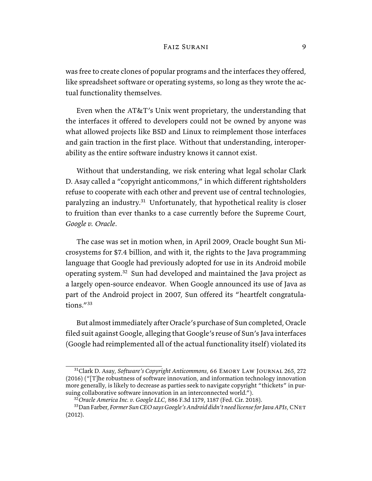was free to create clones of popular programs and the interfaces they offered, like spreadsheet software or operating systems, so long as they wrote the actual functionality themselves.

Even when the AT&T's Unix went proprietary, the understanding that the interfaces it offered to developers could not be owned by anyone was what allowed projects like BSD and Linux to reimplement those interfaces and gain traction in the first place. Without that understanding, interoperability as the entire software industry knows it cannot exist.

Without that understanding, we risk entering what legal scholar Clark D. Asay called a "copyright anticommons," in which different rightsholders refuse to cooperate with each other and prevent use of central technologies, paralyzing an industry.<sup>31</sup> Unfortunately, that hypothetical reality is closer to fruition than ever thanks to a case currently before the Supreme Court, *Google v. Oracle*.

The case was set in motion when, in April 2009, Oracle bought Sun Microsystems for \$7.4 billion, and with it, the rights to the Java programming language that Google had previously adopted for use in its Android mobile operating system.<sup>32</sup> Sun had developed and maintained the Java project as a largely open-source endeavor. When Google announced its use of Java as part of the Android project in 2007, Sun offered its "heartfelt congratulations."<sup>33</sup>

But almost immediately after Oracle's purchase of Sun completed, Oracle filed suit against Google, alleging that Google's reuse of Sun's Java interfaces (Google had reimplemented all of the actual functionality itself) violated its

<sup>&</sup>lt;sup>31</sup>Clark D. Asay, *Software's Copyright Anticommons*, 66 EMORY LAW JOURNAL 265, 272 (2016) ("[T]he robustness of software innovation, and information technology innovation more generally, is likely to decrease as parties seek to navigate copyright "thickets" in pursuing collaborative software innovation in an interconnected world.").

<sup>32</sup>*Oracle America Inc. v. Google LLC*, 886 F.3d 1179, 1187 (Fed. Cir. 2018).

<sup>33</sup>Dan Farber, *Former Sun CEO says Google's Android didn't need license for Java APIs*, CNet (2012).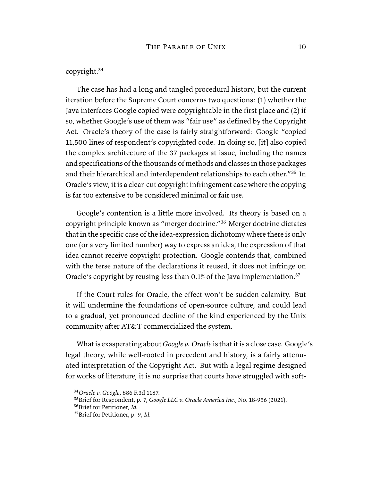## copyright.<sup>34</sup>

The case has had a long and tangled procedural history, but the current iteration before the Supreme Court concerns two questions: (1) whether the Java interfaces Google copied were copyrightable in the first place and (2) if so, whether Google's use of them was "fair use" as defined by the Copyright Act. Oracle's theory of the case is fairly straightforward: Google "copied 11,500 lines of respondent's copyrighted code. In doing so, [it] also copied the complex architecture of the 37 packages at issue, including the names and specifications of the thousands of methods and classes in those packages and their hierarchical and interdependent relationships to each other."<sup>35</sup> In Oracle's view, it is a clear-cut copyright infringement case where the copying is far too extensive to be considered minimal or fair use.

Google's contention is a little more involved. Its theory is based on a copyright principle known as "merger doctrine."<sup>36</sup> Merger doctrine dictates that in the specific case of the idea-expression dichotomy where there is only one (or a very limited number) way to express an idea, the expression of that idea cannot receive copyright protection. Google contends that, combined with the terse nature of the declarations it reused, it does not infringe on Oracle's copyright by reusing less than 0.1% of the Java implementation. $37$ 

If the Court rules for Oracle, the effect won't be sudden calamity. But it will undermine the foundations of open-source culture, and could lead to a gradual, yet pronounced decline of the kind experienced by the Unix community after AT&T commercialized the system.

What is exasperating about *Google v. Oracle* is that it is a close case. Google's legal theory, while well-rooted in precedent and history, is a fairly attenuated interpretation of the Copyright Act. But with a legal regime designed for works of literature, it is no surprise that courts have struggled with soft-

<sup>34</sup>*Oracle v. Google*, 886 F.3d 1187.

<sup>35</sup>Brief for Respondent, p. 7, *Google LLC v. Oracle America Inc.*, No. 18-956 (2021).

<sup>36</sup>Brief for Petitioner, *Id.*

<sup>37</sup>Brief for Petitioner, p. 9, *Id.*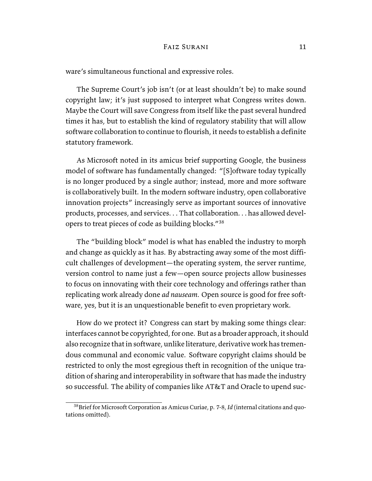ware's simultaneous functional and expressive roles.

The Supreme Court's job isn't (or at least shouldn't be) to make sound copyright law; it's just supposed to interpret what Congress writes down. Maybe the Court will save Congress from itself like the past several hundred times it has, but to establish the kind of regulatory stability that will allow software collaboration to continue to flourish, it needs to establish a definite statutory framework.

As Microsoft noted in its amicus brief supporting Google, the business model of software has fundamentally changed: "[S]oftware today typically is no longer produced by a single author; instead, more and more software is collaboratively built. In the modern software industry, open collaborative innovation projects" increasingly serve as important sources of innovative products, processes, and services. . . That collaboration. . . has allowed developers to treat pieces of code as building blocks."<sup>38</sup>

The "building block" model is what has enabled the industry to morph and change as quickly as it has. By abstracting away some of the most difficult challenges of development—the operating system, the server runtime, version control to name just a few—open source projects allow businesses to focus on innovating with their core technology and offerings rather than replicating work already done *ad nauseam*. Open source is good for free software, yes, but it is an unquestionable benefit to even proprietary work.

How do we protect it? Congress can start by making some things clear: interfaces cannot be copyrighted, for one. But as a broader approach, it should also recognize that in software, unlike literature, derivative work has tremendous communal and economic value. Software copyright claims should be restricted to only the most egregious theft in recognition of the unique tradition of sharing and interoperability in software that has made the industry so successful. The ability of companies like AT&T and Oracle to upend suc-

<sup>38</sup>Brief for Microsoft Corporation as Amicus Curiae, p. 7-8, *Id* (internal citations and quotations omitted).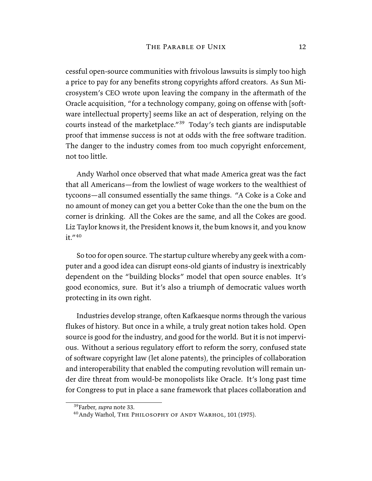cessful open-source communities with frivolous lawsuits is simply too high a price to pay for any benefits strong copyrights afford creators. As Sun Microsystem's CEO wrote upon leaving the company in the aftermath of the Oracle acquisition, "for a technology company, going on offense with [software intellectual property] seems like an act of desperation, relying on the courts instead of the marketplace."<sup>39</sup> Today's tech giants are indisputable proof that immense success is not at odds with the free software tradition. The danger to the industry comes from too much copyright enforcement, not too little.

Andy Warhol once observed that what made America great was the fact that all Americans—from the lowliest of wage workers to the wealthiest of tycoons—all consumed essentially the same things. "A Coke is a Coke and no amount of money can get you a better Coke than the one the bum on the corner is drinking. All the Cokes are the same, and all the Cokes are good. Liz Taylor knows it, the President knows it, the bum knows it, and you know  $it.$ "40

So too for open source. The startup culture whereby any geek with a computer and a good idea can disrupt eons-old giants of industry is inextricably dependent on the "building blocks" model that open source enables. It's good economics, sure. But it's also a triumph of democratic values worth protecting in its own right.

Industries develop strange, often Kafkaesque norms through the various flukes of history. But once in a while, a truly great notion takes hold. Open source is good for the industry, and good for the world. But it is not impervious. Without a serious regulatory effort to reform the sorry, confused state of software copyright law (let alone patents), the principles of collaboration and interoperability that enabled the computing revolution will remain under dire threat from would-be monopolists like Oracle. It's long past time for Congress to put in place a sane framework that places collaboration and

<sup>39</sup>Farber, *supra* note 33.

<sup>40</sup>Andy Warhol, The Philosophy of Andy Warhol, 101 (1975).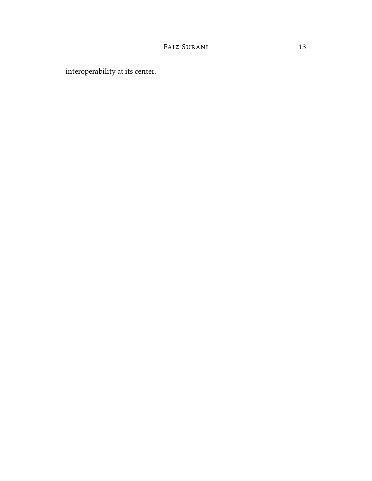interoperability at its center.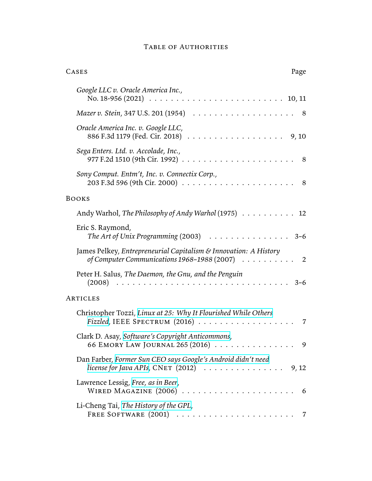## Table of Authorities

| CASES<br>Page                                                                                                                                |   |
|----------------------------------------------------------------------------------------------------------------------------------------------|---|
| Google LLC v. Oracle America Inc.,<br>No. 18-956 (2021) $\ldots \ldots \ldots \ldots \ldots \ldots \ldots \ldots \ldots \ldots 10, 11$       |   |
|                                                                                                                                              |   |
| Oracle America Inc. v. Google LLC,                                                                                                           |   |
| Sega Enters. Ltd. v. Accolade, Inc.,<br>8 <sup>8</sup>                                                                                       |   |
| Sony Comput. Entm't, Inc. v. Connectix Corp.,<br>- 8                                                                                         |   |
| <b>BOOKS</b>                                                                                                                                 |   |
| Andy Warhol, The Philosophy of Andy Warhol (1975) 12                                                                                         |   |
| Eric S. Raymond,                                                                                                                             |   |
| James Pelkey, Entrepreneurial Capitalism & Innovation: A History<br>of Computer Communications $1968 - 1988$ (2007) $\ldots \ldots \ldots$ 2 |   |
| Peter H. Salus, The Daemon, the Gnu, and the Penguin<br>$3 - 6$                                                                              |   |
| ARTICLES                                                                                                                                     |   |
| Christopher Tozzi, Linux at 25: Why It Flourished While Others                                                                               | 7 |
| Clark D. Asay, Software's Copyright Anticommons,<br>66 EMORY LAW JOURNAL 265 (2016)                                                          | 9 |
| Dan Farber, Former Sun CEO says Google's Android didn't need                                                                                 |   |
| Lawrence Lessig, Free, as in Beer,<br>- 6                                                                                                    |   |
| Li-Cheng Tai, The History of the GPL,                                                                                                        |   |